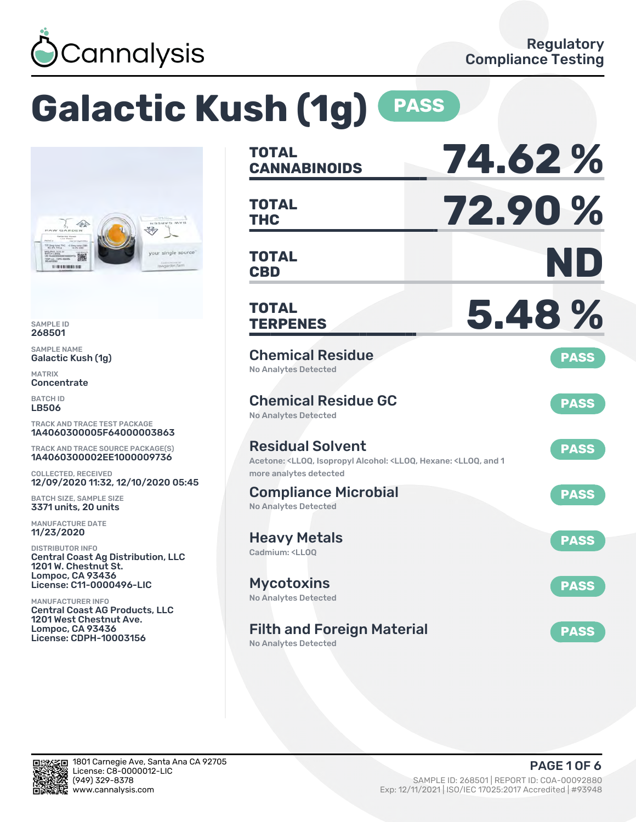

# **Galactic Kush (1g) PASS**



SAMPLE ID 268501

SAMPLE NAME Galactic Kush (1g)

MATRIX **Concentrate** 

BATCH ID LB506

TRACK AND TRACE TEST PACKAGE 1A4060300005F64000003863

TRACK AND TRACE SOURCE PACKAGE(S) 1A4060300002EE1000009736

COLLECTED, RECEIVED 12/09/2020 11:32, 12/10/2020 05:45

BATCH SIZE, SAMPLE SIZE 3371 units, 20 units

MANUFACTURE DATE 11/23/2020

DISTRIBUTOR INFO Central Coast Ag Distribution, LLC 1201 W. Chestnut St. Lompoc, CA 93436 License: C11-0000496-LIC

MANUFACTURER INFO Central Coast AG Products, LLC 1201 West Chestnut Ave. Lompoc, CA 93436 License: CDPH-10003156

| <b>TOTAL</b><br><b>CANNABINOIDS</b>                                                                                                    | 74.62%      |
|----------------------------------------------------------------------------------------------------------------------------------------|-------------|
| <b>TOTAL</b><br>THC                                                                                                                    | 72.90%      |
| TOTAL<br><b>CBD</b>                                                                                                                    | ND          |
| <b>TOTAL</b><br><b>TERPENES</b>                                                                                                        | 5.48%       |
| <b>Chemical Residue</b><br><b>No Analytes Detected</b>                                                                                 | <b>PASS</b> |
| <b>Chemical Residue GC</b><br><b>No Analytes Detected</b>                                                                              | <b>PASS</b> |
| <b>Residual Solvent</b><br>Acetone: <lloq, 1<br="" <lloq,="" alcohol:="" and="" hexane:="" isopropyl="">more analytes detected</lloq,> | <b>PASS</b> |
| <b>Compliance Microbial</b><br><b>No Analytes Detected</b>                                                                             | <b>PASS</b> |
| <b>Heavy Metals</b><br>Cadmium: <ll00< td=""><td><b>PASS</b></td></ll00<>                                                              | <b>PASS</b> |
| <b>Mycotoxins</b><br>No Analytes Detected                                                                                              | <b>PASS</b> |
| <b>Filth and Foreign Material</b><br><b>No Analytes Detected</b>                                                                       | <b>PASS</b> |

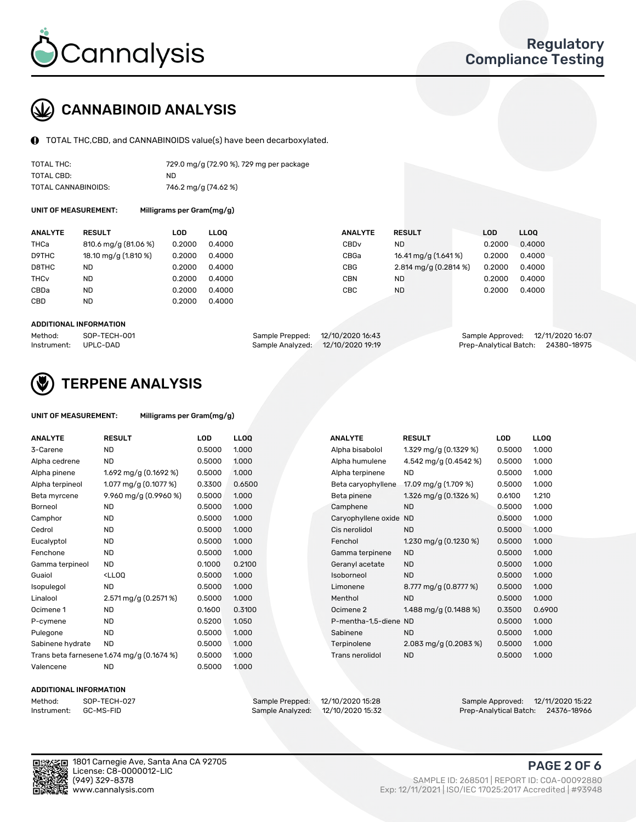

## CANNABINOID ANALYSIS

TOTAL THC,CBD, and CANNABINOIDS value(s) have been decarboxylated.

| TOTAL THC:          | 729.0 mg/g (72.90 %), 729 mg per package |
|---------------------|------------------------------------------|
| TOTAL CBD:          | ND.                                      |
| TOTAL CANNABINOIDS: | 746.2 mg/g (74.62 %)                     |

UNIT OF MEASUREMENT: Milligrams per Gram(mg/g)

| <b>ANALYTE</b>         | <b>RESULT</b>        | LOD    | <b>LLOO</b> | <b>ANALYTE</b>   | <b>RESULT</b>           | <b>LOD</b> | LL <sub>00</sub> |
|------------------------|----------------------|--------|-------------|------------------|-------------------------|------------|------------------|
| THCa                   | 810.6 mg/g (81.06 %) | 0.2000 | 0.4000      | CBD <sub>v</sub> | ND.                     | 0.2000     | 0.4000           |
| D9THC                  | 18.10 mg/g (1.810 %) | 0.2000 | 0.4000      | CBGa             | 16.41 mg/g (1.641 %)    | 0.2000     | 0.4000           |
| D8THC                  | ND                   | 0.2000 | 0.4000      | <b>CBG</b>       | 2.814 mg/g $(0.2814\%)$ | 0.2000     | 0.4000           |
| <b>THC<sub>v</sub></b> | ND                   | 0.2000 | 0.4000      | <b>CBN</b>       | ND.                     | 0.2000     | 0.4000           |
| CBDa                   | <b>ND</b>            | 0.2000 | 0.4000      | CBC              | <b>ND</b>               | 0.2000     | 0.4000           |
| CBD                    | ND                   | 0.2000 | 0.4000      |                  |                         |            |                  |
|                        |                      |        |             |                  |                         |            |                  |

#### ADDITIONAL INFORMATION

| Method:              | SOP-TECH-001 | Sample Prepped: 12/10/2020 16:43  | Sample Approved: 12/11/2020 16:07  |  |
|----------------------|--------------|-----------------------------------|------------------------------------|--|
| Instrument: UPLC-DAD |              | Sample Analyzed: 12/10/2020 19:19 | Prep-Analytical Batch: 24380-18975 |  |



## TERPENE ANALYSIS

| UNIT OF MEASUREMENT: | Milligrams per Gram(mg/g) |
|----------------------|---------------------------|
|----------------------|---------------------------|

| <b>ANALYTE</b>   | <b>RESULT</b>                                                                                                        | <b>LOD</b> | LLOQ   | <b>ANALYTE</b>         | <b>RESULT</b>           | LOD    | <b>LLOQ</b> |
|------------------|----------------------------------------------------------------------------------------------------------------------|------------|--------|------------------------|-------------------------|--------|-------------|
| 3-Carene         | <b>ND</b>                                                                                                            | 0.5000     | 1.000  | Alpha bisabolol        | 1.329 mg/g (0.1329 %)   | 0.5000 | 1.000       |
| Alpha cedrene    | <b>ND</b>                                                                                                            | 0.5000     | 1.000  | Alpha humulene         | 4.542 mg/g (0.4542 %)   | 0.5000 | 1.000       |
| Alpha pinene     | 1.692 mg/g $(0.1692 \%)$                                                                                             | 0.5000     | 1.000  | Alpha terpinene        | ND                      | 0.5000 | 1.000       |
| Alpha terpineol  | 1.077 mg/g $(0.1077%)$                                                                                               | 0.3300     | 0.6500 | Beta caryophyllene     | 17.09 mg/g (1.709 %)    | 0.5000 | 1.000       |
| Beta myrcene     | 9.960 mg/g (0.9960 %)                                                                                                | 0.5000     | 1.000  | Beta pinene            | 1.326 mg/g $(0.1326\%)$ | 0.6100 | 1.210       |
| <b>Borneol</b>   | <b>ND</b>                                                                                                            | 0.5000     | 1.000  | Camphene               | <b>ND</b>               | 0.5000 | 1.000       |
| Camphor          | <b>ND</b>                                                                                                            | 0.5000     | 1.000  | Caryophyllene oxide ND |                         | 0.5000 | 1.000       |
| Cedrol           | <b>ND</b>                                                                                                            | 0.5000     | 1.000  | Cis nerolidol          | <b>ND</b>               | 0.5000 | 1.000       |
| Eucalyptol       | <b>ND</b>                                                                                                            | 0.5000     | 1.000  | Fenchol                | 1.230 mg/g $(0.1230\%)$ | 0.5000 | 1.000       |
| Fenchone         | <b>ND</b>                                                                                                            | 0.5000     | 1.000  | Gamma terpinene        | <b>ND</b>               | 0.5000 | 1.000       |
| Gamma terpineol  | <b>ND</b>                                                                                                            | 0.1000     | 0.2100 | Geranyl acetate        | <b>ND</b>               | 0.5000 | 1.000       |
| Guaiol           | <ll0q< td=""><td>0.5000</td><td>1.000</td><td>Isoborneol</td><td><b>ND</b></td><td>0.5000</td><td>1.000</td></ll0q<> | 0.5000     | 1.000  | Isoborneol             | <b>ND</b>               | 0.5000 | 1.000       |
| Isopulegol       | <b>ND</b>                                                                                                            | 0.5000     | 1.000  | Limonene               | 8.777 mg/g (0.8777 %)   | 0.5000 | 1.000       |
| Linalool         | 2.571 mg/g (0.2571 %)                                                                                                | 0.5000     | 1.000  | Menthol                | <b>ND</b>               | 0.5000 | 1.000       |
| Ocimene 1        | <b>ND</b>                                                                                                            | 0.1600     | 0.3100 | Ocimene 2              | 1.488 mg/g $(0.1488\%)$ | 0.3500 | 0.6900      |
| P-cymene         | <b>ND</b>                                                                                                            | 0.5200     | 1.050  | P-mentha-1,5-diene ND  |                         | 0.5000 | 1.000       |
| Pulegone         | <b>ND</b>                                                                                                            | 0.5000     | 1.000  | Sabinene               | <b>ND</b>               | 0.5000 | 1.000       |
| Sabinene hydrate | <b>ND</b>                                                                                                            | 0.5000     | 1.000  | Terpinolene            | 2.083 mg/g $(0.2083\%)$ | 0.5000 | 1.000       |
|                  | Trans beta farnesene 1.674 mg/g (0.1674 %)                                                                           | 0.5000     | 1.000  | Trans nerolidol        | <b>ND</b>               | 0.5000 | 1.000       |
| Valencene        | <b>ND</b>                                                                                                            | 0.5000     | 1.000  |                        |                         |        |             |

#### ADDITIONAL INFORMATION



Sample Analyzed: 12/10/2020 15:32

Method: SOP-TECH-027 Sample Prepped: 12/10/2020 15:28 Sample Approved: 12/11/2020 15:22



1801 Carnegie Ave, Santa Ana CA 92705 License: C8-0000012-LIC<br>(949) 329-8378

## PAGE 2 OF 6

(949) 329-8378 SAMPLE ID: 268501 | REPORT ID: COA-00092880 Exp: 12/11/2021 | ISO/IEC 17025:2017 Accredited | #93948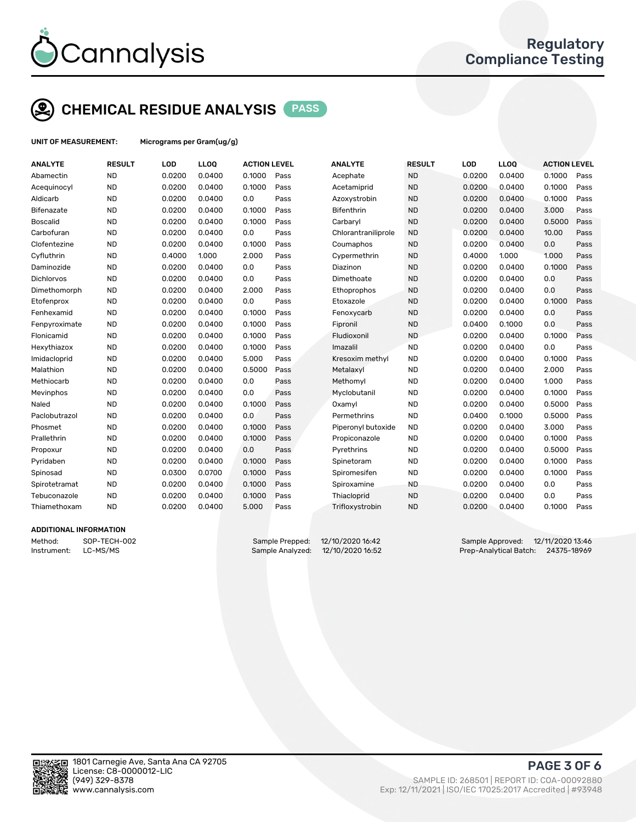

# CHEMICAL RESIDUE ANALYSIS PASS

UNIT OF MEASUREMENT: Micrograms per Gram(ug/g)

| <b>ANALYTE</b>         | <b>RESULT</b> | LOD    | LLOQ   | <b>ACTION LEVEL</b> |      | <b>ANALYTE</b>      | <b>RESULT</b> | LOD    | <b>LLOQ</b> | <b>ACTION LEVEL</b> |      |
|------------------------|---------------|--------|--------|---------------------|------|---------------------|---------------|--------|-------------|---------------------|------|
| Abamectin              | <b>ND</b>     | 0.0200 | 0.0400 | 0.1000              | Pass | Acephate            | <b>ND</b>     | 0.0200 | 0.0400      | 0.1000              | Pass |
| Acequinocyl            | <b>ND</b>     | 0.0200 | 0.0400 | 0.1000              | Pass | Acetamiprid         | <b>ND</b>     | 0.0200 | 0.0400      | 0.1000              | Pass |
| Aldicarb               | <b>ND</b>     | 0.0200 | 0.0400 | 0.0                 | Pass | Azoxystrobin        | <b>ND</b>     | 0.0200 | 0.0400      | 0.1000              | Pass |
| Bifenazate             | <b>ND</b>     | 0.0200 | 0.0400 | 0.1000              | Pass | <b>Bifenthrin</b>   | <b>ND</b>     | 0.0200 | 0.0400      | 3.000               | Pass |
| <b>Boscalid</b>        | <b>ND</b>     | 0.0200 | 0.0400 | 0.1000              | Pass | Carbaryl            | <b>ND</b>     | 0.0200 | 0.0400      | 0.5000              | Pass |
| Carbofuran             | <b>ND</b>     | 0.0200 | 0.0400 | 0.0                 | Pass | Chlorantraniliprole | <b>ND</b>     | 0.0200 | 0.0400      | 10.00               | Pass |
| Clofentezine           | <b>ND</b>     | 0.0200 | 0.0400 | 0.1000              | Pass | Coumaphos           | <b>ND</b>     | 0.0200 | 0.0400      | 0.0                 | Pass |
| Cyfluthrin             | <b>ND</b>     | 0.4000 | 1.000  | 2.000               | Pass | Cypermethrin        | <b>ND</b>     | 0.4000 | 1.000       | 1.000               | Pass |
| Daminozide             | <b>ND</b>     | 0.0200 | 0.0400 | 0.0                 | Pass | Diazinon            | <b>ND</b>     | 0.0200 | 0.0400      | 0.1000              | Pass |
| Dichlorvos             | <b>ND</b>     | 0.0200 | 0.0400 | 0.0                 | Pass | Dimethoate          | <b>ND</b>     | 0.0200 | 0.0400      | 0.0                 | Pass |
| Dimethomorph           | <b>ND</b>     | 0.0200 | 0.0400 | 2.000               | Pass | Ethoprophos         | <b>ND</b>     | 0.0200 | 0.0400      | 0.0                 | Pass |
| Etofenprox             | <b>ND</b>     | 0.0200 | 0.0400 | 0.0                 | Pass | Etoxazole           | <b>ND</b>     | 0.0200 | 0.0400      | 0.1000              | Pass |
| Fenhexamid             | <b>ND</b>     | 0.0200 | 0.0400 | 0.1000              | Pass | Fenoxycarb          | <b>ND</b>     | 0.0200 | 0.0400      | 0.0                 | Pass |
| Fenpyroximate          | <b>ND</b>     | 0.0200 | 0.0400 | 0.1000              | Pass | Fipronil            | <b>ND</b>     | 0.0400 | 0.1000      | 0.0                 | Pass |
| Flonicamid             | <b>ND</b>     | 0.0200 | 0.0400 | 0.1000              | Pass | Fludioxonil         | <b>ND</b>     | 0.0200 | 0.0400      | 0.1000              | Pass |
| Hexythiazox            | <b>ND</b>     | 0.0200 | 0.0400 | 0.1000              | Pass | Imazalil            | <b>ND</b>     | 0.0200 | 0.0400      | 0.0                 | Pass |
| Imidacloprid           | <b>ND</b>     | 0.0200 | 0.0400 | 5.000               | Pass | Kresoxim methyl     | <b>ND</b>     | 0.0200 | 0.0400      | 0.1000              | Pass |
| Malathion              | <b>ND</b>     | 0.0200 | 0.0400 | 0.5000              | Pass | Metalaxyl           | <b>ND</b>     | 0.0200 | 0.0400      | 2.000               | Pass |
| Methiocarb             | <b>ND</b>     | 0.0200 | 0.0400 | 0.0                 | Pass | Methomyl            | <b>ND</b>     | 0.0200 | 0.0400      | 1.000               | Pass |
| Mevinphos              | <b>ND</b>     | 0.0200 | 0.0400 | 0.0                 | Pass | Myclobutanil        | <b>ND</b>     | 0.0200 | 0.0400      | 0.1000              | Pass |
| Naled                  | <b>ND</b>     | 0.0200 | 0.0400 | 0.1000              | Pass | Oxamyl              | <b>ND</b>     | 0.0200 | 0.0400      | 0.5000              | Pass |
| Paclobutrazol          | <b>ND</b>     | 0.0200 | 0.0400 | 0.0                 | Pass | Permethrins         | <b>ND</b>     | 0.0400 | 0.1000      | 0.5000              | Pass |
| Phosmet                | <b>ND</b>     | 0.0200 | 0.0400 | 0.1000              | Pass | Piperonyl butoxide  | <b>ND</b>     | 0.0200 | 0.0400      | 3.000               | Pass |
| Prallethrin            | <b>ND</b>     | 0.0200 | 0.0400 | 0.1000              | Pass | Propiconazole       | <b>ND</b>     | 0.0200 | 0.0400      | 0.1000              | Pass |
| Propoxur               | <b>ND</b>     | 0.0200 | 0.0400 | 0.0                 | Pass | Pyrethrins          | <b>ND</b>     | 0.0200 | 0.0400      | 0.5000              | Pass |
| Pyridaben              | <b>ND</b>     | 0.0200 | 0.0400 | 0.1000              | Pass | Spinetoram          | <b>ND</b>     | 0.0200 | 0.0400      | 0.1000              | Pass |
| Spinosad               | <b>ND</b>     | 0.0300 | 0.0700 | 0.1000              | Pass | Spiromesifen        | <b>ND</b>     | 0.0200 | 0.0400      | 0.1000              | Pass |
| Spirotetramat          | <b>ND</b>     | 0.0200 | 0.0400 | 0.1000              | Pass | Spiroxamine         | <b>ND</b>     | 0.0200 | 0.0400      | 0.0                 | Pass |
| Tebuconazole           | <b>ND</b>     | 0.0200 | 0.0400 | 0.1000              | Pass | Thiacloprid         | <b>ND</b>     | 0.0200 | 0.0400      | 0.0                 | Pass |
| Thiamethoxam           | <b>ND</b>     | 0.0200 | 0.0400 | 5.000               | Pass | Trifloxystrobin     | <b>ND</b>     | 0.0200 | 0.0400      | 0.1000              | Pass |
| ADDITIONAL INFORMATION |               |        |        |                     |      |                     |               |        |             |                     |      |

#### ITIONAL INFORMATION

Instrument: LC-MS/MS Sample Analyzed: 12/10/2020 16:52 Prep-Analytical Batch: 24375-18969

Method: SOP-TECH-002 Sample Prepped: 12/10/2020 16:42 Sample Approved: 12/11/2020 13:46



PAGE 3 OF 6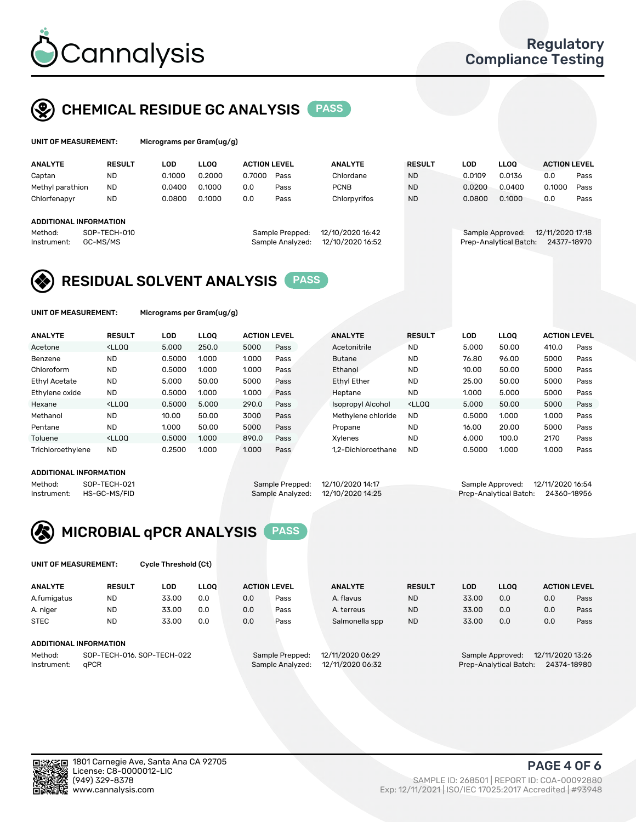

## CHEMICAL RESIDUE GC ANALYSIS PASS

| UNIT OF MEASUREMENT: | Microgram |
|----------------------|-----------|
|                      |           |

ns per Gram(ug/g)

| <b>ANALYTE</b>                                          | <b>RESULT</b>            | LOD    | <b>LLOO</b> | <b>ACTION LEVEL</b> |                                     | <b>ANALYTE</b>                       | <b>RESULT</b> | LOD    | <b>LLOO</b>                                | <b>ACTION LEVEL</b> |             |
|---------------------------------------------------------|--------------------------|--------|-------------|---------------------|-------------------------------------|--------------------------------------|---------------|--------|--------------------------------------------|---------------------|-------------|
| Captan                                                  | <b>ND</b>                | 0.1000 | 0.2000      | 0.7000              | Pass                                | Chlordane                            | <b>ND</b>     | 0.0109 | 0.0136                                     | 0.0                 | Pass        |
| Methyl parathion                                        | <b>ND</b>                | 0.0400 | 0.1000      | 0.0                 | Pass                                | <b>PCNB</b>                          | <b>ND</b>     | 0.0200 | 0.0400                                     | 0.1000              | Pass        |
| Chlorfenapyr                                            | <b>ND</b>                | 0.0800 | 0.1000      | 0.0                 | Pass                                | Chlorpyrifos                         | <b>ND</b>     | 0.0800 | 0.1000                                     | 0.0                 | Pass        |
| <b>ADDITIONAL INFORMATION</b><br>Method:<br>Instrument: | SOP-TECH-010<br>GC-MS/MS |        |             |                     | Sample Prepped:<br>Sample Analyzed: | 12/10/2020 16:42<br>12/10/2020 16:52 |               |        | Sample Approved:<br>Prep-Analytical Batch: | 12/11/2020 17:18    | 24377-18970 |

## RESIDUAL SOLVENT ANALYSIS PASS

UNIT OF MEASUREMENT: Micrograms per Gram(ug/g)

| <b>ANALYTE</b>       | <b>RESULT</b>                                                                                                                                                                                      | <b>LOD</b> | <b>LLOO</b> | <b>ACTION LEVEL</b> |      | <b>ANALYTE</b>           | <b>RESULT</b>                                                               | LOD    | <b>LLOO</b> | <b>ACTION LEVEL</b> |      |
|----------------------|----------------------------------------------------------------------------------------------------------------------------------------------------------------------------------------------------|------------|-------------|---------------------|------|--------------------------|-----------------------------------------------------------------------------|--------|-------------|---------------------|------|
| Acetone              | <lloo< th=""><th>5.000</th><th>250.0</th><th>5000</th><th>Pass</th><th>Acetonitrile</th><th><b>ND</b></th><th>5.000</th><th>50.00</th><th>410.0</th><th>Pass</th></lloo<>                          | 5.000      | 250.0       | 5000                | Pass | Acetonitrile             | <b>ND</b>                                                                   | 5.000  | 50.00       | 410.0               | Pass |
| Benzene              | <b>ND</b>                                                                                                                                                                                          | 0.5000     | 1.000       | 1.000               | Pass | <b>Butane</b>            | <b>ND</b>                                                                   | 76.80  | 96.00       | 5000                | Pass |
| Chloroform           | <b>ND</b>                                                                                                                                                                                          | 0.5000     | 1.000       | 1.000               | Pass | Ethanol                  | <b>ND</b>                                                                   | 10.00  | 50.00       | 5000                | Pass |
| <b>Ethyl Acetate</b> | <b>ND</b>                                                                                                                                                                                          | 5.000      | 50.00       | 5000                | Pass | <b>Ethyl Ether</b>       | <b>ND</b>                                                                   | 25.00  | 50.00       | 5000                | Pass |
| Ethylene oxide       | ND                                                                                                                                                                                                 | 0.5000     | 1.000       | 1.000               | Pass | Heptane                  | <b>ND</b>                                                                   | 1.000  | 5.000       | 5000                | Pass |
| Hexane               | <lloq< td=""><td>0.5000</td><td>5.000</td><td>290.0</td><td>Pass</td><td><b>Isopropyl Alcohol</b></td><td><lloo< td=""><td>5.000</td><td>50.00</td><td>5000</td><td>Pass</td></lloo<></td></lloq<> | 0.5000     | 5.000       | 290.0               | Pass | <b>Isopropyl Alcohol</b> | <lloo< td=""><td>5.000</td><td>50.00</td><td>5000</td><td>Pass</td></lloo<> | 5.000  | 50.00       | 5000                | Pass |
| Methanol             | <b>ND</b>                                                                                                                                                                                          | 10.00      | 50.00       | 3000                | Pass | Methylene chloride       | <b>ND</b>                                                                   | 0.5000 | 1.000       | 1.000               | Pass |
| Pentane              | <b>ND</b>                                                                                                                                                                                          | 1.000      | 50.00       | 5000                | Pass | Propane                  | <b>ND</b>                                                                   | 16.00  | 20.00       | 5000                | Pass |
| Toluene              | <lloo< td=""><td>0.5000</td><td>1.000</td><td>890.0</td><td>Pass</td><td>Xvlenes</td><td><b>ND</b></td><td>6.000</td><td>100.0</td><td>2170</td><td>Pass</td></lloo<>                              | 0.5000     | 1.000       | 890.0               | Pass | Xvlenes                  | <b>ND</b>                                                                   | 6.000  | 100.0       | 2170                | Pass |
| Trichloroethylene    | <b>ND</b>                                                                                                                                                                                          | 0.2500     | 1.000       | 1.000               | Pass | 1.2-Dichloroethane       | <b>ND</b>                                                                   | 0.5000 | 1.000       | 1.000               | Pass |

#### ADDITIONAL INFORMATION

| Trichloroethvlene      | ND.                          | 0.2500 | 1.000 | 1.000 | Pass                                | 1.2-Dichloroethane                   | ND | 0.5000           | 1.000 | 1.000                                                  | Pass |
|------------------------|------------------------------|--------|-------|-------|-------------------------------------|--------------------------------------|----|------------------|-------|--------------------------------------------------------|------|
| ADDITIONAL INFORMATION |                              |        |       |       |                                     |                                      |    |                  |       |                                                        |      |
| Method:<br>Instrument: | SOP-TECH-021<br>HS-GC-MS/FID |        |       |       | Sample Prepped:<br>Sample Analyzed: | 12/10/2020 14:17<br>12/10/2020 14:25 |    | Sample Approved: |       | 12/11/2020 16:54<br>Prep-Analytical Batch: 24360-18956 |      |



UNIT OF MEASUREMENT: Cycle Threshold (Ct)

| <b>ANALYTE</b>                        | <b>RESULT</b>          | LOD   | <b>LLOO</b> |                 | <b>ACTION LEVEL</b> | <b>ANALYTE</b>   | <b>RESULT</b>                        | LOD   | LL <sub>00</sub>       |     | <b>ACTION LEVEL</b> |
|---------------------------------------|------------------------|-------|-------------|-----------------|---------------------|------------------|--------------------------------------|-------|------------------------|-----|---------------------|
| A.fumigatus                           | <b>ND</b>              | 33.00 | 0.0         | 0.0             | Pass                | A. flavus        | <b>ND</b>                            | 33.00 | 0.0                    | 0.0 | Pass                |
| A. niger                              | <b>ND</b>              | 33.00 | 0.0         | 0.0             | Pass                | A. terreus       | <b>ND</b>                            | 33.00 | 0.0                    | 0.0 | Pass                |
| <b>STEC</b>                           | <b>ND</b>              | 33.00 | 0.0         | 0.0             | Pass                | Salmonella spp   | <b>ND</b>                            | 33.00 | 0.0                    | 0.0 | Pass                |
|                                       | ADDITIONAL INFORMATION |       |             |                 |                     |                  |                                      |       |                        |     |                     |
| SOP-TECH-016, SOP-TECH-022<br>Method: |                        |       |             | Sample Prepped: | 12/11/2020 06:29    |                  | 12/11/2020 13:26<br>Sample Approved: |       |                        |     |                     |
| Instrument:                           | aPCR                   |       |             |                 | Sample Analyzed:    | 12/11/2020 06:32 |                                      |       | Prep-Analytical Batch: |     | 24374-18980         |

PAGE 4 OF 6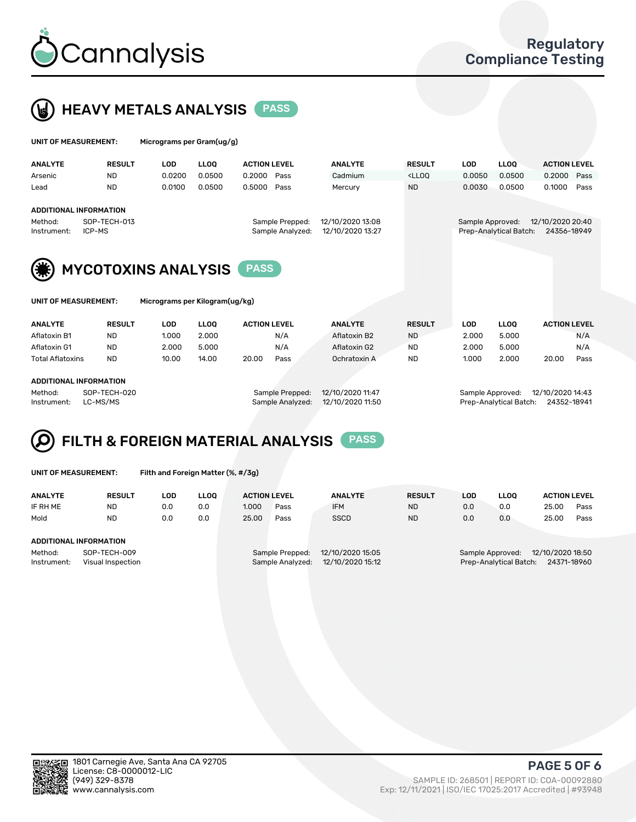



| UNIT OF MEASUREMENT: |               | Micrograms per Gram(ug/g) |             |                     |                |               |     |             |                     |  |  |
|----------------------|---------------|---------------------------|-------------|---------------------|----------------|---------------|-----|-------------|---------------------|--|--|
| ANALYTE              | <b>RESULT</b> | LOD                       | <b>LLOO</b> | <b>ACTION LEVEL</b> | <b>ANALYTE</b> | <b>RESULT</b> | LOD | <b>LLOO</b> | <b>ACTION LEVEL</b> |  |  |

| Arsenic                                          | <b>ND</b>              | 0.0200 | 0.0500 | 0.2000 | Pass                                | Cadmium                              | <lloq< th=""><th>0.0050</th><th>0.0500</th><th>0.2000</th><th>Pass</th></lloq<> | 0.0050           | 0.0500                 | 0.2000                          | Pass |
|--------------------------------------------------|------------------------|--------|--------|--------|-------------------------------------|--------------------------------------|---------------------------------------------------------------------------------|------------------|------------------------|---------------------------------|------|
| Lead                                             | <b>ND</b>              | 0.0100 | 0.0500 | 0.5000 | Pass                                | Mercury                              | <b>ND</b>                                                                       | 0.0030           | 0.0500                 | 0.1000                          | Pass |
| ADDITIONAL INFORMATION<br>Method:<br>Instrument: | SOP-TECH-013<br>ICP-MS |        |        |        | Sample Prepped:<br>Sample Analyzed: | 12/10/2020 13:08<br>12/10/2020 13:27 |                                                                                 | Sample Approved: | Prep-Analytical Batch: | 12/10/2020 20:40<br>24356-18949 |      |



|  | UNIT OF MEASUREMENT: |  |
|--|----------------------|--|
|  |                      |  |

Micrograms per Kilogram(ug/kg)

| <b>ANALYTE</b>          | <b>RESULT</b> | LOD   | <b>LLOO</b> | <b>ACTION LEVEL</b> |      | <b>ANALYTE</b> | <b>RESULT</b> | LOD   | <b>LLOO</b> | <b>ACTION LEVEL</b> |      |
|-------------------------|---------------|-------|-------------|---------------------|------|----------------|---------------|-------|-------------|---------------------|------|
| Aflatoxin B1            | <b>ND</b>     | 1.000 | 2.000       |                     | N/A  | Aflatoxin B2   | <b>ND</b>     | 2.000 | 5.000       |                     | N/A  |
| Aflatoxin G1            | <b>ND</b>     | 2.000 | 5.000       |                     | N/A  | Aflatoxin G2   | <b>ND</b>     | 2.000 | 5.000       |                     | N/A  |
| <b>Total Aflatoxins</b> | <b>ND</b>     | 10.00 | 14.00       | 20.00               | Pass | Ochratoxin A   | <b>ND</b>     | 1.000 | 2.000       | 20.00               | Pass |
|                         |               |       |             |                     |      |                |               |       |             |                     |      |

#### ADDITIONAL INFORMATION

Method: SOP-TECH-020 Sample Prepped: 12/10/2020 11:47 Sample Approved: 12/10/2020 14:43 Instrument: LC-MS/MS Sample Analyzed: 12/10/2020 11:50 Prep-Analytical Batch: 24352-18941



|  | UNIT OF MEASUREMENT: |
|--|----------------------|
|  |                      |

Filth and Foreign Matter (%, #/3g)

| <b>ANALYTE</b>                                              | <b>RESULT</b> | LOD | <b>LLOO</b> | <b>ACTION LEVEL</b> |                                     | <b>ANALYTE</b>                       | <b>RESULT</b> | LOD | <b>LLOO</b>                                | <b>ACTION LEVEL</b>             |      |
|-------------------------------------------------------------|---------------|-----|-------------|---------------------|-------------------------------------|--------------------------------------|---------------|-----|--------------------------------------------|---------------------------------|------|
| IF RH ME                                                    | ND            | 0.0 | 0.0         | 1.000               | Pass                                | <b>IFM</b>                           | <b>ND</b>     | 0.0 | 0.0                                        | 25.00                           | Pass |
| Mold                                                        | <b>ND</b>     | 0.0 | 0.0         | 25.00               | Pass                                | <b>SSCD</b>                          | <b>ND</b>     | 0.0 | 0.0                                        | 25.00                           | Pass |
| ADDITIONAL INFORMATION                                      |               |     |             |                     |                                     |                                      |               |     |                                            |                                 |      |
| Method:<br>SOP-TECH-009<br>Instrument:<br>Visual Inspection |               |     |             |                     | Sample Prepped:<br>Sample Analyzed: | 12/10/2020 15:05<br>12/10/2020 15:12 |               |     | Sample Approved:<br>Prep-Analytical Batch: | 12/10/2020 18:50<br>24371-18960 |      |